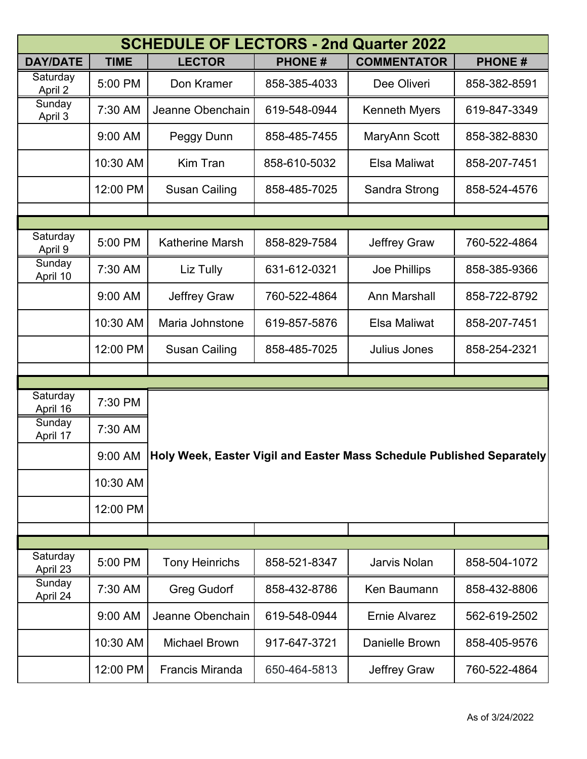|                     |             | <b>SCHEDULE OF LECTORS - 2nd Quarter 2022</b> |                                                                       |                      |               |  |  |
|---------------------|-------------|-----------------------------------------------|-----------------------------------------------------------------------|----------------------|---------------|--|--|
| <b>DAY/DATE</b>     | <b>TIME</b> | <b>LECTOR</b>                                 | <b>PHONE#</b>                                                         | <b>COMMENTATOR</b>   | <b>PHONE#</b> |  |  |
| Saturday<br>April 2 | 5:00 PM     | Don Kramer                                    | 858-385-4033                                                          | Dee Oliveri          | 858-382-8591  |  |  |
| Sunday<br>April 3   | 7:30 AM     | Jeanne Obenchain                              | 619-548-0944                                                          | <b>Kenneth Myers</b> | 619-847-3349  |  |  |
|                     | 9:00 AM     | Peggy Dunn                                    | 858-485-7455                                                          | MaryAnn Scott        | 858-382-8830  |  |  |
|                     | 10:30 AM    | <b>Kim Tran</b>                               | 858-610-5032                                                          | Elsa Maliwat         | 858-207-7451  |  |  |
|                     | 12:00 PM    | <b>Susan Cailing</b>                          | 858-485-7025                                                          | Sandra Strong        | 858-524-4576  |  |  |
|                     |             |                                               |                                                                       |                      |               |  |  |
| Saturday            | 5:00 PM     | <b>Katherine Marsh</b>                        | 858-829-7584                                                          | <b>Jeffrey Graw</b>  | 760-522-4864  |  |  |
| April 9<br>Sunday   | 7:30 AM     | Liz Tully                                     | 631-612-0321                                                          | Joe Phillips         | 858-385-9366  |  |  |
| April 10            |             |                                               |                                                                       |                      |               |  |  |
|                     | 9:00 AM     | <b>Jeffrey Graw</b>                           | 760-522-4864                                                          | <b>Ann Marshall</b>  | 858-722-8792  |  |  |
|                     | 10:30 AM    | Maria Johnstone                               | 619-857-5876                                                          | Elsa Maliwat         | 858-207-7451  |  |  |
|                     | 12:00 PM    | <b>Susan Cailing</b>                          | 858-485-7025                                                          | <b>Julius Jones</b>  | 858-254-2321  |  |  |
|                     |             |                                               |                                                                       |                      |               |  |  |
| Saturday            |             |                                               |                                                                       |                      |               |  |  |
| April 16            | 7:30 PM     |                                               |                                                                       |                      |               |  |  |
| Sunday<br>April 17  | 7:30 AM     |                                               | Holy Week, Easter Vigil and Easter Mass Schedule Published Separately |                      |               |  |  |
|                     | 9:00 AM     |                                               |                                                                       |                      |               |  |  |
|                     | 10:30 AM    |                                               |                                                                       |                      |               |  |  |
|                     | 12:00 PM    |                                               |                                                                       |                      |               |  |  |
|                     |             |                                               |                                                                       |                      |               |  |  |
| Saturday            |             |                                               |                                                                       |                      |               |  |  |
| April 23            | 5:00 PM     | <b>Tony Heinrichs</b>                         | 858-521-8347                                                          | <b>Jarvis Nolan</b>  | 858-504-1072  |  |  |
| Sunday<br>April 24  | 7:30 AM     | <b>Greg Gudorf</b>                            | 858-432-8786                                                          | <b>Ken Baumann</b>   | 858-432-8806  |  |  |
|                     | 9:00 AM     | Jeanne Obenchain                              | 619-548-0944                                                          | <b>Ernie Alvarez</b> | 562-619-2502  |  |  |
|                     | 10:30 AM    | <b>Michael Brown</b>                          | 917-647-3721                                                          | Danielle Brown       | 858-405-9576  |  |  |
|                     | 12:00 PM    | <b>Francis Miranda</b>                        | 650-464-5813                                                          | Jeffrey Graw         | 760-522-4864  |  |  |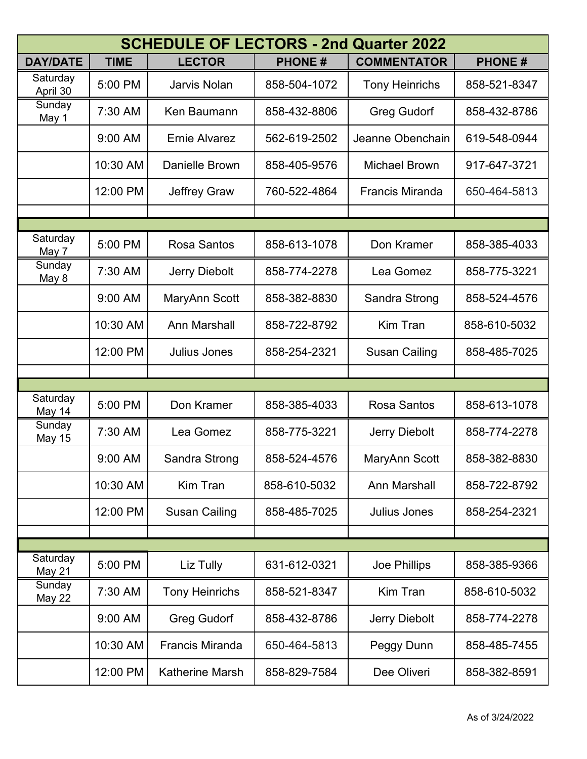| <b>SCHEDULE OF LECTORS - 2nd Quarter 2022</b> |             |                        |               |                        |               |
|-----------------------------------------------|-------------|------------------------|---------------|------------------------|---------------|
| <b>DAY/DATE</b>                               | <b>TIME</b> | <b>LECTOR</b>          | <b>PHONE#</b> | <b>COMMENTATOR</b>     | <b>PHONE#</b> |
| Saturday<br>April 30                          | 5:00 PM     | Jarvis Nolan           | 858-504-1072  | <b>Tony Heinrichs</b>  | 858-521-8347  |
| Sunday<br>May 1                               | 7:30 AM     | Ken Baumann            | 858-432-8806  | <b>Greg Gudorf</b>     | 858-432-8786  |
|                                               | 9:00 AM     | <b>Ernie Alvarez</b>   | 562-619-2502  | Jeanne Obenchain       | 619-548-0944  |
|                                               | 10:30 AM    | <b>Danielle Brown</b>  | 858-405-9576  | <b>Michael Brown</b>   | 917-647-3721  |
|                                               | 12:00 PM    | <b>Jeffrey Graw</b>    | 760-522-4864  | <b>Francis Miranda</b> | 650-464-5813  |
|                                               |             |                        |               |                        |               |
| Saturday                                      |             |                        |               |                        |               |
| May 7                                         | 5:00 PM     | <b>Rosa Santos</b>     | 858-613-1078  | Don Kramer             | 858-385-4033  |
| Sunday<br>May 8                               | 7:30 AM     | Jerry Diebolt          | 858-774-2278  | Lea Gomez              | 858-775-3221  |
|                                               | 9:00 AM     | MaryAnn Scott          | 858-382-8830  | Sandra Strong          | 858-524-4576  |
|                                               | 10:30 AM    | <b>Ann Marshall</b>    | 858-722-8792  | Kim Tran               | 858-610-5032  |
|                                               | 12:00 PM    | <b>Julius Jones</b>    | 858-254-2321  | <b>Susan Cailing</b>   | 858-485-7025  |
|                                               |             |                        |               |                        |               |
| Saturday                                      |             |                        |               |                        |               |
| May 14                                        | 5:00 PM     | Don Kramer             | 858-385-4033  | <b>Rosa Santos</b>     | 858-613-1078  |
| Sunday<br><b>May 15</b>                       | 7:30 AM     | Lea Gomez              | 858-775-3221  | Jerry Diebolt          | 858-774-2278  |
|                                               | 9:00 AM     | Sandra Strong          | 858-524-4576  | MaryAnn Scott          | 858-382-8830  |
|                                               | 10:30 AM    | <b>Kim Tran</b>        | 858-610-5032  | <b>Ann Marshall</b>    | 858-722-8792  |
|                                               | 12:00 PM    | <b>Susan Cailing</b>   | 858-485-7025  | <b>Julius Jones</b>    | 858-254-2321  |
|                                               |             |                        |               |                        |               |
| Saturday                                      |             |                        |               |                        |               |
| May 21                                        | 5:00 PM     | Liz Tully              | 631-612-0321  | Joe Phillips           | 858-385-9366  |
| Sunday<br>May 22                              | 7:30 AM     | <b>Tony Heinrichs</b>  | 858-521-8347  | <b>Kim Tran</b>        | 858-610-5032  |
|                                               | 9:00 AM     | <b>Greg Gudorf</b>     | 858-432-8786  | <b>Jerry Diebolt</b>   | 858-774-2278  |
|                                               | 10:30 AM    | <b>Francis Miranda</b> | 650-464-5813  | Peggy Dunn             | 858-485-7455  |
|                                               | 12:00 PM    | <b>Katherine Marsh</b> | 858-829-7584  | Dee Oliveri            | 858-382-8591  |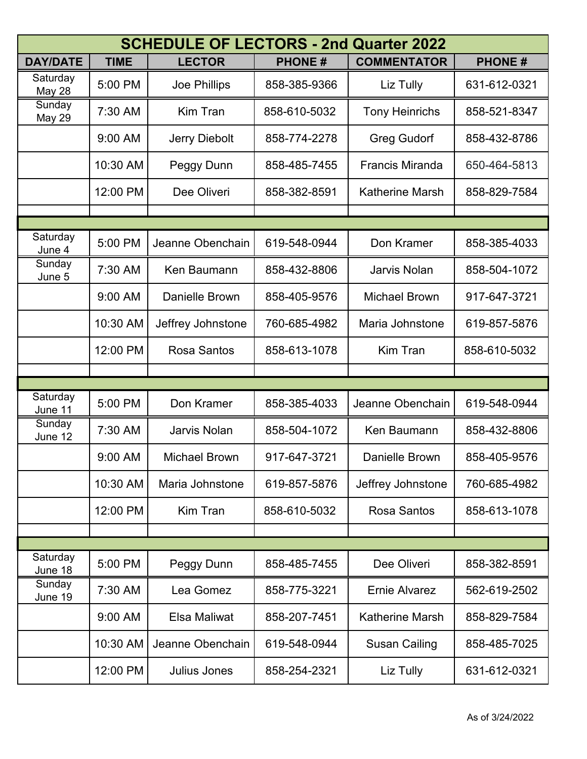| <b>SCHEDULE OF LECTORS - 2nd Quarter 2022</b> |             |                      |               |                        |               |
|-----------------------------------------------|-------------|----------------------|---------------|------------------------|---------------|
| <b>DAY/DATE</b>                               | <b>TIME</b> | <b>LECTOR</b>        | <b>PHONE#</b> | <b>COMMENTATOR</b>     | <b>PHONE#</b> |
| Saturday<br><b>May 28</b>                     | 5:00 PM     | Joe Phillips         | 858-385-9366  | Liz Tully              | 631-612-0321  |
| Sunday<br>May 29                              | 7:30 AM     | <b>Kim Tran</b>      | 858-610-5032  | <b>Tony Heinrichs</b>  | 858-521-8347  |
|                                               | 9:00 AM     | Jerry Diebolt        | 858-774-2278  | <b>Greg Gudorf</b>     | 858-432-8786  |
|                                               | 10:30 AM    | Peggy Dunn           | 858-485-7455  | <b>Francis Miranda</b> | 650-464-5813  |
|                                               | 12:00 PM    | Dee Oliveri          | 858-382-8591  | <b>Katherine Marsh</b> | 858-829-7584  |
|                                               |             |                      |               |                        |               |
| Saturday<br>June 4                            | 5:00 PM     | Jeanne Obenchain     | 619-548-0944  | Don Kramer             | 858-385-4033  |
| Sunday<br>June 5                              | 7:30 AM     | Ken Baumann          | 858-432-8806  | <b>Jarvis Nolan</b>    | 858-504-1072  |
|                                               | 9:00 AM     | Danielle Brown       | 858-405-9576  | <b>Michael Brown</b>   | 917-647-3721  |
|                                               | 10:30 AM    | Jeffrey Johnstone    | 760-685-4982  | Maria Johnstone        | 619-857-5876  |
|                                               | 12:00 PM    | <b>Rosa Santos</b>   | 858-613-1078  | <b>Kim Tran</b>        | 858-610-5032  |
|                                               |             |                      |               |                        |               |
| Saturday                                      |             |                      |               |                        |               |
| June 11                                       | 5:00 PM     | Don Kramer           | 858-385-4033  | Jeanne Obenchain       | 619-548-0944  |
| Sunday<br>June 12                             | 7:30 AM     | <b>Jarvis Nolan</b>  | 858-504-1072  | Ken Baumann            | 858-432-8806  |
|                                               | 9:00 AM     | <b>Michael Brown</b> | 917-647-3721  | <b>Danielle Brown</b>  | 858-405-9576  |
|                                               | 10:30 AM    | Maria Johnstone      | 619-857-5876  | Jeffrey Johnstone      | 760-685-4982  |
|                                               | 12:00 PM    | <b>Kim Tran</b>      | 858-610-5032  | <b>Rosa Santos</b>     | 858-613-1078  |
|                                               |             |                      |               |                        |               |
| Saturday                                      | 5:00 PM     |                      | 858-485-7455  | Dee Oliveri            | 858-382-8591  |
| June 18                                       |             | Peggy Dunn           |               |                        |               |
| Sunday<br>June 19                             | 7:30 AM     | Lea Gomez            | 858-775-3221  | <b>Ernie Alvarez</b>   | 562-619-2502  |
|                                               | 9:00 AM     | <b>Elsa Maliwat</b>  | 858-207-7451  | <b>Katherine Marsh</b> | 858-829-7584  |
|                                               | 10:30 AM    | Jeanne Obenchain     | 619-548-0944  | <b>Susan Cailing</b>   | 858-485-7025  |
|                                               | 12:00 PM    | Julius Jones         | 858-254-2321  | Liz Tully              | 631-612-0321  |